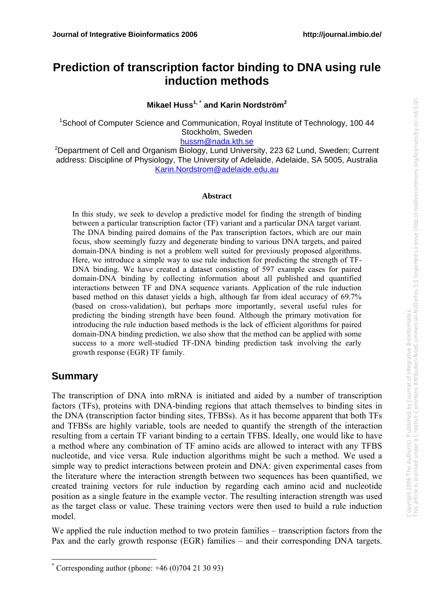# **Prediction of transcription factor binding to DNA using rule induction methods**

**Mikael Huss1, [\\*](#page-0-0) and Karin Nordström<sup>2</sup>**

<sup>1</sup>School of Computer Science and Communication, Royal Institute of Technology, 100 44 Stockholm, Sweden

[hussm@nada.kth.se](mailto:hussm@nada.kth.se)

<sup>2</sup>Department of Cell and Organism Biology, Lund University, 223 62 Lund, Sweden; Current address: Discipline of Physiology, The University of Adelaide, Adelaide, SA 5005, Australia [Karin.Nordstrom@adelaide.edu.au](mailto:Karin.Nordstrom@adelaide.edu.au)

#### **Abstract**

In this study, we seek to develop a predictive model for finding the strength of binding between a particular transcription factor (TF) variant and a particular DNA target variant. The DNA binding paired domains of the Pax transcription factors, which are our main focus, show seemingly fuzzy and degenerate binding to various DNA targets, and paired domain-DNA binding is not a problem well suited for previously proposed algorithms. Here, we introduce a simple way to use rule induction for predicting the strength of TF-DNA binding. We have created a dataset consisting of 597 example cases for paired domain-DNA binding by collecting information about all published and quantified interactions between TF and DNA sequence variants. Application of the rule induction based method on this dataset yields a high, although far from ideal accuracy of 69.7% (based on cross-validation), but perhaps more importantly, several useful rules for predicting the binding strength have been found. Although the primary motivation for introducing the rule induction based methods is the lack of efficient algorithms for paired domain-DNA binding prediction, we also show that the method can be applied with some success to a more well-studied TF-DNA binding prediction task involving the early growth response (EGR) TF family.

## **Summary**

1

The transcription of DNA into mRNA is initiated and aided by a number of transcription factors (TFs), proteins with DNA-binding regions that attach themselves to binding sites in the DNA (transcription factor binding sites, TFBSs). As it has become apparent that both TFs and TFBSs are highly variable, tools are needed to quantify the strength of the interaction resulting from a certain TF variant binding to a certain TFBS. Ideally, one would like to have a method where any combination of TF amino acids are allowed to interact with any TFBS nucleotide, and vice versa. Rule induction algorithms might be such a method. We used a simple way to predict interactions between protein and DNA: given experimental cases from the literature where the interaction strength between two sequences has been quantified, we created training vectors for rule induction by regarding each amino acid and nucleotide position as a single feature in the example vector. The resulting interaction strength was used as the target class or value. These training vectors were then used to build a rule induction model.

We applied the rule induction method to two protein families – transcription factors from the Pax and the early growth response (EGR) families – and their corresponding DNA targets.

<span id="page-0-0"></span><sup>\*</sup> Corresponding author (phone: +46 (0)704 21 30 93)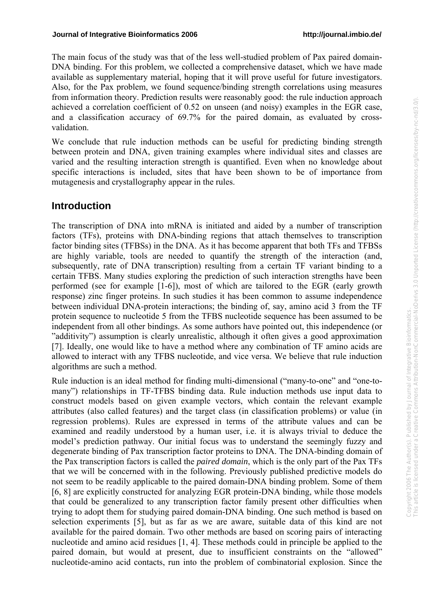The main focus of the study was that of the less well-studied problem of Pax paired domain-DNA binding. For this problem, we collected a comprehensive dataset, which we have made available as supplementary material, hoping that it will prove useful for future investigators. Also, for the Pax problem, we found sequence/binding strength correlations using measures from information theory. Prediction results were reasonably good: the rule induction approach achieved a correlation coefficient of 0.52 on unseen (and noisy) examples in the EGR case, and a classification accuracy of 69.7% for the paired domain, as evaluated by crossvalidation.

We conclude that rule induction methods can be useful for predicting binding strength between protein and DNA, given training examples where individual sites and classes are varied and the resulting interaction strength is quantified. Even when no knowledge about specific interactions is included, sites that have been shown to be of importance from mutagenesis and crystallography appear in the rules.

# **Introduction**

The transcription of DNA into mRNA is initiated and aided by a number of transcription factors (TFs), proteins with DNA-binding regions that attach themselves to transcription factor binding sites (TFBSs) in the DNA. As it has become apparent that both TFs and TFBSs are highly variable, tools are needed to quantify the strength of the interaction (and, subsequently, rate of DNA transcription) resulting from a certain TF variant binding to a certain TFBS. Many studies exploring the prediction of such interaction strengths have been performed (see for example [1-6]), most of which are tailored to the EGR (early growth response) zinc finger proteins. In such studies it has been common to assume independence between individual DNA-protein interactions; the binding of, say, amino acid 3 from the TF protein sequence to nucleotide 5 from the TFBS nucleotide sequence has been assumed to be independent from all other bindings. As some authors have pointed out, this independence (or "additivity") assumption is clearly unrealistic, although it often gives a good approximation [7]. Ideally, one would like to have a method where any combination of TF amino acids are allowed to interact with any TFBS nucleotide, and vice versa. We believe that rule induction algorithms are such a method.

Rule induction is an ideal method for finding multi-dimensional ("many-to-one" and "one-tomany") relationships in TF-TFBS binding data. Rule induction methods use input data to construct models based on given example vectors, which contain the relevant example attributes (also called features) and the target class (in classification problems) or value (in regression problems). Rules are expressed in terms of the attribute values and can be examined and readily understood by a human user, i.e. it is always trivial to deduce the model's prediction pathway. Our initial focus was to understand the seemingly fuzzy and degenerate binding of Pax transcription factor proteins to DNA. The DNA-binding domain of the Pax transcription factors is called the *paired domain*, which is the only part of the Pax TFs that we will be concerned with in the following. Previously published predictive models do not seem to be readily applicable to the paired domain-DNA binding problem. Some of them [6, 8] are explicitly constructed for analyzing EGR protein-DNA binding, while those models that could be generalized to any transcription factor family present other difficulties when trying to adopt them for studying paired domain-DNA binding. One such method is based on selection experiments [5], but as far as we are aware, suitable data of this kind are not available for the paired domain. Two other methods are based on scoring pairs of interacting nucleotide and amino acid residues [1, 4]. These methods could in principle be applied to the paired domain, but would at present, due to insufficient constraints on the "allowed" nucleotide-amino acid contacts, run into the problem of combinatorial explosion. Since the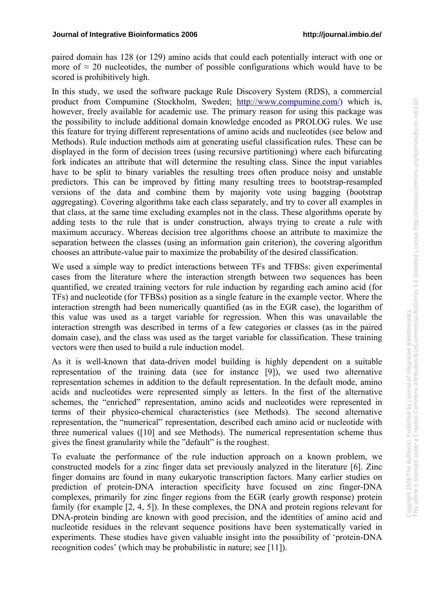paired domain has 128 (or 129) amino acids that could each potentially interact with one or more of  $\approx$  20 nucleotides, the number of possible configurations which would have to be scored is prohibitively high.

In this study, we used the software package Rule Discovery System (RDS), a commercial product from Compumine (Stockholm, Sweden; <http://www.compumine.com/>) which is, however, freely available for academic use. The primary reason for using this package was the possibility to include additional domain knowledge encoded as PROLOG rules. We use this feature for trying different representations of amino acids and nucleotides (see below and Methods). Rule induction methods aim at generating useful classification rules. These can be displayed in the form of decision trees (using recursive partitioning) where each bifurcating fork indicates an attribute that will determine the resulting class. Since the input variables have to be split to binary variables the resulting trees often produce noisy and unstable predictors. This can be improved by fitting many resulting trees to bootstrap-resampled versions of the data and combine them by majority vote using bagging (*b*ootstrap *agg*regating). Covering algorithms take each class separately, and try to cover all examples in that class, at the same time excluding examples not in the class. These algorithms operate by adding tests to the rule that is under construction, always trying to create a rule with maximum accuracy. Whereas decision tree algorithms choose an attribute to maximize the separation between the classes (using an information gain criterion), the covering algorithm chooses an attribute-value pair to maximize the probability of the desired classification.

We used a simple way to predict interactions between TFs and TFBSs: given experimental cases from the literature where the interaction strength between two sequences has been quantified, we created training vectors for rule induction by regarding each amino acid (for TFs) and nucleotide (for TFBSs) position as a single feature in the example vector. Where the interaction strength had been numerically quantified (as in the EGR case), the logarithm of this value was used as a target variable for regression. When this was unavailable the interaction strength was described in terms of a few categories or classes (as in the paired domain case), and the class was used as the target variable for classification. These training vectors were then used to build a rule induction model.

As it is well-known that data-driven model building is highly dependent on a suitable representation of the training data (see for instance [9]), we used two alternative representation schemes in addition to the default representation. In the default mode, amino acids and nucleotides were represented simply as letters. In the first of the alternative schemes, the "enriched" representation, amino acids and nucleotides were represented in terms of their physico-chemical characteristics (see Methods). The second alternative representation, the "numerical" representation, described each amino acid or nucleotide with three numerical values ([10] and see Methods). The numerical representation scheme thus gives the finest granularity while the "default" is the roughest.

To evaluate the performance of the rule induction approach on a known problem, we constructed models for a zinc finger data set previously analyzed in the literature [6]. Zinc finger domains are found in many eukaryotic transcription factors. Many earlier studies on prediction of protein-DNA interaction specificity have focused on zinc finger-DNA complexes, primarily for zinc finger regions from the EGR (early growth response) protein family (for example [2, 4, 5]). In these complexes, the DNA and protein regions relevant for DNA-protein binding are known with good precision, and the identities of amino acid and nucleotide residues in the relevant sequence positions have been systematically varied in experiments. These studies have given valuable insight into the possibility of 'protein-DNA recognition codes' (which may be probabilistic in nature; see [11]).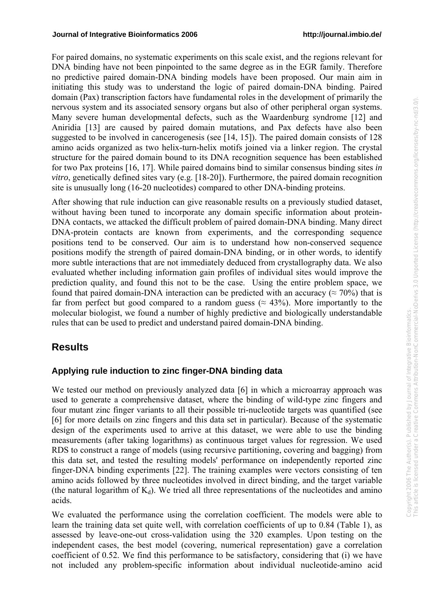For paired domains, no systematic experiments on this scale exist, and the regions relevant for DNA binding have not been pinpointed to the same degree as in the EGR family. Therefore no predictive paired domain-DNA binding models have been proposed. Our main aim in initiating this study was to understand the logic of paired domain-DNA binding. Paired domain (Pax) transcription factors have fundamental roles in the development of primarily the nervous system and its associated sensory organs but also of other peripheral organ systems. Many severe human developmental defects, such as the Waardenburg syndrome [12] and Aniridia [13] are caused by paired domain mutations, and Pax defects have also been suggested to be involved in cancerogenesis (see [14, 15]). The paired domain consists of 128 amino acids organized as two helix-turn-helix motifs joined via a linker region. The crystal structure for the paired domain bound to its DNA recognition sequence has been established for two Pax proteins [16, 17]. While paired domains bind to similar consensus binding sites *in vitro*, genetically defined sites vary (e.g. [18-20]). Furthermore, the paired domain recognition site is unusually long (16-20 nucleotides) compared to other DNA-binding proteins.

After showing that rule induction can give reasonable results on a previously studied dataset, without having been tuned to incorporate any domain specific information about protein-DNA contacts, we attacked the difficult problem of paired domain-DNA binding. Many direct DNA-protein contacts are known from experiments, and the corresponding sequence positions tend to be conserved. Our aim is to understand how non-conserved sequence positions modify the strength of paired domain-DNA binding, or in other words, to identify more subtle interactions that are not immediately deduced from crystallography data. We also evaluated whether including information gain profiles of individual sites would improve the prediction quality, and found this not to be the case. Using the entire problem space, we found that paired domain-DNA interaction can be predicted with an accuracy ( $\approx$  70%) that is far from perfect but good compared to a random guess ( $\approx 43\%$ ). More importantly to the molecular biologist, we found a number of highly predictive and biologically understandable rules that can be used to predict and understand paired domain-DNA binding.

## **Results**

#### **Applying rule induction to zinc finger-DNA binding data**

We tested our method on previously analyzed data [6] in which a microarray approach was used to generate a comprehensive dataset, where the binding of wild-type zinc fingers and four mutant zinc finger variants to all their possible tri-nucleotide targets was quantified (see [6] for more details on zinc fingers and this data set in particular). Because of the systematic design of the experiments used to arrive at this dataset, we were able to use the binding measurements (after taking logarithms) as continuous target values for regression. We used RDS to construct a range of models (using recursive partitioning, covering and bagging) from this data set, and tested the resulting models' performance on independently reported zinc finger-DNA binding experiments [22]. The training examples were vectors consisting of ten amino acids followed by three nucleotides involved in direct binding, and the target variable (the natural logarithm of  $K_d$ ). We tried all three representations of the nucleotides and amino acids.

We evaluated the performance using the correlation coefficient. The models were able to learn the training data set quite well, with correlation coefficients of up to 0.84 (Table 1), as assessed by leave-one-out cross-validation using the 320 examples. Upon testing on the independent cases, the best model (covering, numerical representation) gave a correlation coefficient of 0.52. We find this performance to be satisfactory, considering that (i) we have not included any problem-specific information about individual nucleotide-amino acid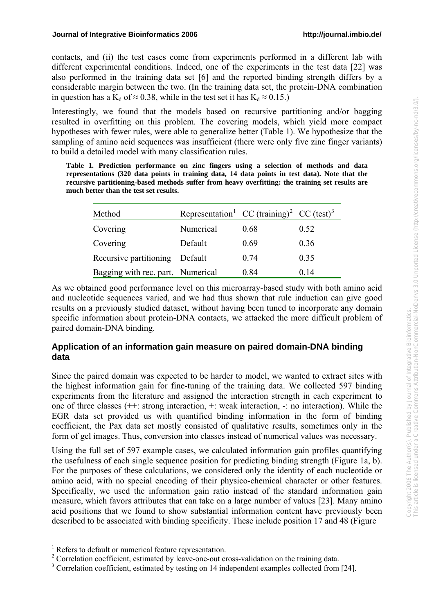contacts, and (ii) the test cases come from experiments performed in a different lab with different experimental conditions. Indeed, one of the experiments in the test data [22] was also performed in the training data set [6] and the reported binding strength differs by a considerable margin between the two. (In the training data set, the protein-DNA combination in question has a K<sub>d</sub> of  $\approx$  0.38, while in the test set it has K<sub>d</sub>  $\approx$  0.15.)

Interestingly, we found that the models based on recursive partitioning and/or bagging resulted in overfitting on this problem. The covering models, which yield more compact hypotheses with fewer rules, were able to generalize better (Table 1). We hypothesize that the sampling of amino acid sequences was insufficient (there were only five zinc finger variants) to build a detailed model with many classification rules.

**Table 1***.* **Prediction performance on zinc fingers using a selection of methods and data representations (320 data points in training data, 14 data points in test data). Note that the recursive partitioning-based methods suffer from heavy overfitting: the training set results are much better than the test set results.** 

| Method                            | Representation <sup>1</sup> CC (training) <sup>2</sup> CC (test) <sup>3</sup> |      |      |
|-----------------------------------|-------------------------------------------------------------------------------|------|------|
| Covering                          | Numerical                                                                     | 0.68 | 0.52 |
| Covering                          | Default                                                                       | 0.69 | 0.36 |
| Recursive partitioning            | Default                                                                       | 0.74 | 0.35 |
| Bagging with rec. part. Numerical |                                                                               | 0.84 | 0.14 |

As we obtained good performance level on this microarray-based study with both amino acid and nucleotide sequences varied, and we had thus shown that rule induction can give good results on a previously studied dataset, without having been tuned to incorporate any domain specific information about protein-DNA contacts, we attacked the more difficult problem of paired domain-DNA binding.

#### **Application of an information gain measure on paired domain-DNA binding data**

Since the paired domain was expected to be harder to model, we wanted to extract sites with the highest information gain for fine-tuning of the training data. We collected 597 binding experiments from the literature and assigned the interaction strength in each experiment to one of three classes (++: strong interaction, +: weak interaction, -: no interaction). While the EGR data set provided us with quantified binding information in the form of binding coefficient, the Pax data set mostly consisted of qualitative results, sometimes only in the form of gel images. Thus, conversion into classes instead of numerical values was necessary.

Using the full set of 597 example cases, we calculated information gain profiles quantifying the usefulness of each single sequence position for predicting binding strength (Figure 1a, b). For the purposes of these calculations, we considered only the identity of each nucleotide or amino acid, with no special encoding of their physico-chemical character or other features. Specifically, we used the information gain ratio instead of the standard information gain measure, which favors attributes that can take on a large number of values [23]. Many amino acid positions that we found to show substantial information content have previously been described to be associated with binding specificity. These include position 17 and 48 (Figure

<u>.</u>

<span id="page-4-0"></span><sup>&</sup>lt;sup>1</sup> Refers to default or numerical feature representation.

<span id="page-4-1"></span> $2^2$  Correlation coefficient, estimated by leave-one-out cross-validation on the training data.

<span id="page-4-2"></span><sup>&</sup>lt;sup>3</sup> Correlation coefficient, estimated by testing on 14 independent examples collected from [24].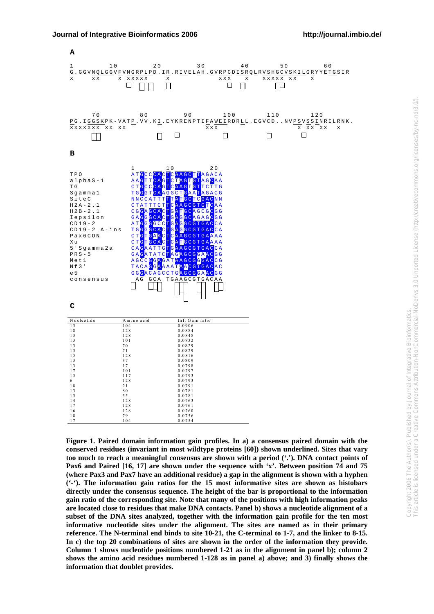

**Figure 1. Paired domain information gain profiles. In a) a consensus paired domain with the conserved residues (invariant in most wildtype proteins [60]) shown underlined. Sites that vary too much to reach a meaningful consensus are shown with a period ('.'). DNA contact points of Pax6 and Paired [16, 17] are shown under the sequence with 'x'. Between position 74 and 75 (where Pax3 and Pax7 have an additional residue) a gap in the alignment is shown with a hyphen ('-'). The information gain ratios for the 15 most informative sites are shown as histobars directly under the consensus sequence. The height of the bar is proportional to the information gain ratio of the corresponding site. Note that many of the positions with high information peaks are located close to residues that make DNA contacts. Panel b) shows a nucleotide alignment of a subset of the DNA sites analyzed, together with the information gain profile for the ten most informative nucleotide sites under the alignment. The sites are named as in their primary reference. The N-terminal end binds to site 10-21, the C-terminal to 1-7, and the linker to 8-15. In c) the top 20 combinations of sites are shown in the order of the information they provide. Column 1 shows nucleotide positions numbered 1-21 as in the alignment in panel b); column 2 shows the amino acid residues numbered 1-128 as in panel a) above; and 3) finally shows the information that doublet provides.**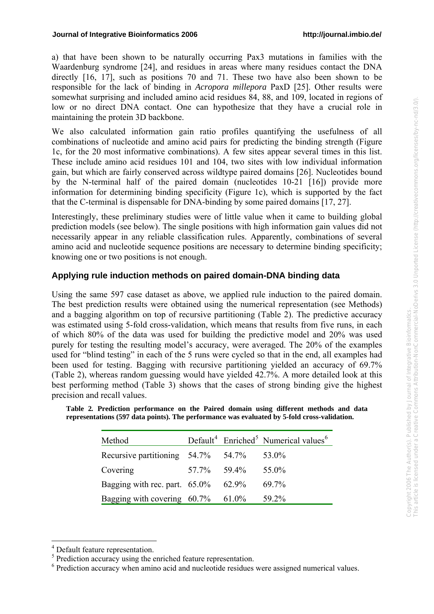a) that have been shown to be naturally occurring Pax3 mutations in families with the Waardenburg syndrome [24], and residues in areas where many residues contact the DNA directly [16, 17], such as positions 70 and 71. These two have also been shown to be responsible for the lack of binding in *Acropora millepora* PaxD [25]. Other results were somewhat surprising and included amino acid residues 84, 88, and 109, located in regions of low or no direct DNA contact. One can hypothesize that they have a crucial role in maintaining the protein 3D backbone.

We also calculated information gain ratio profiles quantifying the usefulness of all combinations of nucleotide and amino acid pairs for predicting the binding strength (Figure 1c, for the 20 most informative combinations). A few sites appear several times in this list. These include amino acid residues 101 and 104, two sites with low individual information gain, but which are fairly conserved across wildtype paired domains [26]. Nucleotides bound by the N-terminal half of the paired domain (nucleotides 10-21 [16]) provide more information for determining binding specificity (Figure 1c), which is supported by the fact that the C-terminal is dispensable for DNA-binding by some paired domains [17, 27].

Interestingly, these preliminary studies were of little value when it came to building global prediction models (see below). The single positions with high information gain values did not necessarily appear in any reliable classification rules. Apparently, combinations of several amino acid and nucleotide sequence positions are necessary to determine binding specificity; knowing one or two positions is not enough.

## **Applying rule induction methods on paired domain-DNA binding data**

Using the same 597 case dataset as above, we applied rule induction to the paired domain. The best prediction results were obtained using the numerical representation (see Methods) and a bagging algorithm on top of recursive partitioning (Table 2). The predictive accuracy was estimated using 5-fold cross-validation, which means that results from five runs, in each of which 80% of the data was used for building the predictive model and 20% was used purely for testing the resulting model's accuracy, were averaged. The 20% of the examples used for "blind testing" in each of the 5 runs were cycled so that in the end, all examples had been used for testing. Bagging with recursive partitioning yielded an accuracy of 69.7% (Table 2), whereas random guessing would have yielded 42.7%. A more detailed look at this best performing method (Table 3) shows that the cases of strong binding give the highest precision and recall values.

|  | Table 2. Prediction performance on the Paired domain using different methods and data        |  |  |  |  |  |
|--|----------------------------------------------------------------------------------------------|--|--|--|--|--|
|  | representations (597 data points). The performance was evaluated by 5-fold cross-validation. |  |  |  |  |  |

| Method                                            |                            | Default <sup>4</sup> Enriched <sup>5</sup> Numerical values <sup>6</sup> |
|---------------------------------------------------|----------------------------|--------------------------------------------------------------------------|
| Recursive partitioning $54.7\%$ $54.7\%$ $53.0\%$ |                            |                                                                          |
| Covering                                          | $57.7\%$ $59.4\%$ $55.0\%$ |                                                                          |
| Bagging with rec. part. $65.0\%$ $62.9\%$         |                            | 69.7%                                                                    |
| Bagging with covering $60.7\%$ 61.0%              |                            | 59.2%                                                                    |

<sup>&</sup>lt;u>.</u> 4 Default feature representation.

<span id="page-6-1"></span><span id="page-6-0"></span><sup>&</sup>lt;sup>5</sup> Prediction accuracy using the enriched feature representation.

<span id="page-6-2"></span><sup>&</sup>lt;sup>6</sup> Prediction accuracy when amino acid and nucleotide residues were assigned numerical values.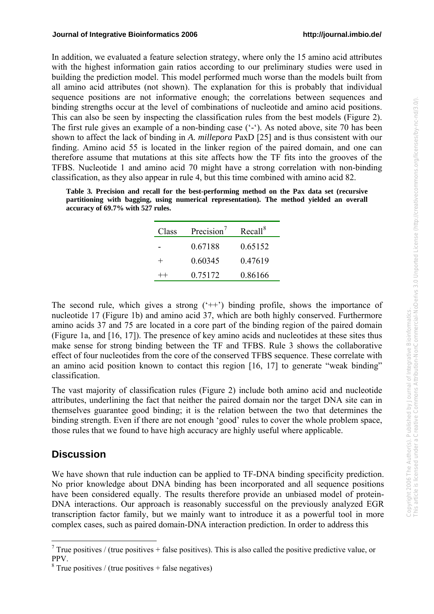In addition, we evaluated a feature selection strategy, where only the 15 amino acid attributes with the highest information gain ratios according to our preliminary studies were used in building the prediction model. This model performed much worse than the models built from all amino acid attributes (not shown). The explanation for this is probably that individual sequence positions are not informative enough; the correlations between sequences and binding strengths occur at the level of combinations of nucleotide and amino acid positions. This can also be seen by inspecting the classification rules from the best models (Figure 2). The first rule gives an example of a non-binding case ('-'). As noted above, site 70 has been shown to affect the lack of binding in *A. millepora* PaxD [25] and is thus consistent with our finding. Amino acid 55 is located in the linker region of the paired domain, and one can therefore assume that mutations at this site affects how the TF fits into the grooves of the TFBS. Nucleotide 1 and amino acid 70 might have a strong correlation with non-binding classification, as they also appear in rule 4, but this time combined with amino acid 82.

**Table 3***.* **Precision and recall for the best-performing method on the Pax data set (recursive partitioning with bagging, using numerical representation). The method yielded an overall accuracy of 69.7% with 527 rules.** 

| Class | Precision <sup>'</sup> | Recall <sup>8</sup> |
|-------|------------------------|---------------------|
|       | 0.67188                | 0.65152             |
| $^+$  | 0.60345                | 0.47619             |
|       | 0.75172                | 0.86166             |

The second rule, which gives a strong  $($  $^{\circ}$ + $^{\circ}$ ) binding profile, shows the importance of nucleotide 17 (Figure 1b) and amino acid 37, which are both highly conserved. Furthermore amino acids 37 and 75 are located in a core part of the binding region of the paired domain (Figure 1a, and [16, 17]). The presence of key amino acids and nucleotides at these sites thus make sense for strong binding between the TF and TFBS. Rule 3 shows the collaborative effect of four nucleotides from the core of the conserved TFBS sequence. These correlate with an amino acid position known to contact this region [16, 17] to generate "weak binding" classification.

The vast majority of classification rules (Figure 2) include both amino acid and nucleotide attributes, underlining the fact that neither the paired domain nor the target DNA site can in themselves guarantee good binding; it is the relation between the two that determines the binding strength. Even if there are not enough 'good' rules to cover the whole problem space, those rules that we found to have high accuracy are highly useful where applicable.

# **Discussion**

<u>.</u>

We have shown that rule induction can be applied to TF-DNA binding specificity prediction. No prior knowledge about DNA binding has been incorporated and all sequence positions have been considered equally. The results therefore provide an unbiased model of protein-DNA interactions. Our approach is reasonably successful on the previously analyzed EGR transcription factor family, but we mainly want to introduce it as a powerful tool in more complex cases, such as paired domain-DNA interaction prediction. In order to address this

<span id="page-7-0"></span><sup>&</sup>lt;sup>7</sup> True positives / (true positives + false positives). This is also called the positive predictive value, or PPV.

<span id="page-7-1"></span> $8$  True positives / (true positives + false negatives)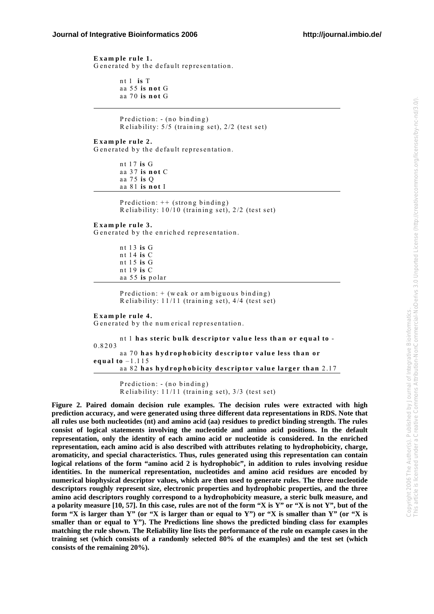**Exam p le rule 1.**  G enerated by the default representation.

> nt 1 **is** T aa 55 **is not** G aa 70 **is not** G

Prediction: - (no binding) R eliability: 5/5 (training set), 2/2 (test set)

**Exam ple rule 2.**  G enerated by the default representation.

> nt 17 **is** G aa 37 **is not** C aa 75 **is** Q aa 81 **is not** I

> > Prediction: ++ (strong binding) R eliability: 10/10 (training set), 2/2 (test set)

**Exam ple rule 3.** 

G enerated by the enriched representation.

 n t 1 3 **is** G n t 1 4 **is** C n t 1 5 **is** G n t 1 9 **is** C aa 5 5 **is** polar

 Prediction: + (weak or am biguous binding) R eliability: 11/11 (training set), 4/4 (test set)

**Exam ple rule 4.** 

G enerated by the num erical representation.

nt 1 **has steric bulk descriptor value less than or equal to** - 0.8203 aa 70 **has hydrophobicity descriptor value less than or equal to** –1.115 aa 82 **has hydrophobicity descriptor value larger than** 2.17

> Prediction: - (no binding) R eliability: 11/11 (training set), 3/3 (test set)

**Figure 2. Paired domain decision rule examples. The decision rules were extracted with high prediction accuracy, and were generated using three different data representations in RDS. Note that all rules use both nucleotides (nt) and amino acid (aa) residues to predict binding strength. The rules consist of logical statements involving the nucleotide and amino acid positions. In the default representation, only the identity of each amino acid or nucleotide is considered. In the enriched representation, each amino acid is also described with attributes relating to hydrophobicity, charge, aromaticity, and special characteristics. Thus, rules generated using this representation can contain logical relations of the form "amino acid 2 is hydrophobic", in addition to rules involving residue identities. In the numerical representation, nucleotides and amino acid residues are encoded by numerical biophysical descriptor values, which are then used to generate rules. The three nucleotide descriptors roughly represent size, electronic properties and hydrophobic properties, and the three amino acid descriptors roughly correspond to a hydrophobicity measure, a steric bulk measure, and a polarity measure [10, 57]. In this case, rules are not of the form "X is Y" or "X is not Y", but of the form "X is larger than Y" (or "X is larger than or equal to Y") or "X is smaller than Y" (or "X is smaller than or equal to Y"). The Predictions line shows the predicted binding class for examples matching the rule shown. The Reliability line lists the performance of the rule on example cases in the training set (which consists of a randomly selected 80% of the examples) and the test set (which consists of the remaining 20%).**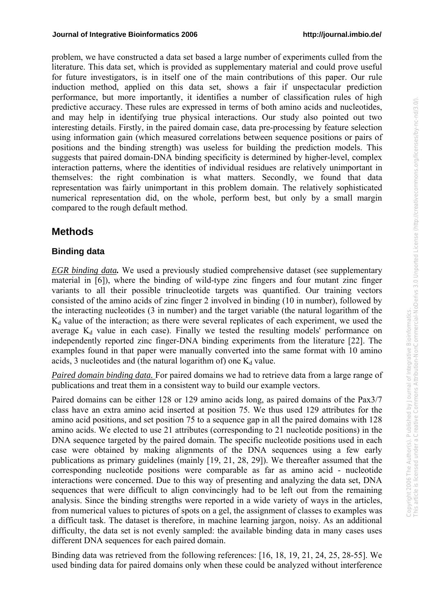problem, we have constructed a data set based a large number of experiments culled from the literature. This data set, which is provided as supplementary material and could prove useful for future investigators, is in itself one of the main contributions of this paper. Our rule induction method, applied on this data set, shows a fair if unspectacular prediction performance, but more importantly, it identifies a number of classification rules of high predictive accuracy. These rules are expressed in terms of both amino acids and nucleotides, and may help in identifying true physical interactions. Our study also pointed out two interesting details. Firstly, in the paired domain case, data pre-processing by feature selection using information gain (which measured correlations between sequence positions or pairs of positions and the binding strength) was useless for building the prediction models. This suggests that paired domain-DNA binding specificity is determined by higher-level, complex interaction patterns, where the identities of individual residues are relatively unimportant in themselves: the right combination is what matters. Secondly, we found that data representation was fairly unimportant in this problem domain. The relatively sophisticated numerical representation did, on the whole, perform best, but only by a small margin compared to the rough default method.

# **Methods**

## **Binding data**

*EGR binding data.* We used a previously studied comprehensive dataset (see supplementary material in [6]), where the binding of wild-type zinc fingers and four mutant zinc finger variants to all their possible trinucleotide targets was quantified. Our training vectors consisted of the amino acids of zinc finger 2 involved in binding (10 in number), followed by the interacting nucleotides (3 in number) and the target variable (the natural logarithm of the  $K_d$  value of the interaction; as there were several replicates of each experiment, we used the average  $K_d$  value in each case). Finally we tested the resulting models' performance on independently reported zinc finger-DNA binding experiments from the literature [22]. The examples found in that paper were manually converted into the same format with 10 amino acids, 3 nucleotides and (the natural logarithm of) one  $K_d$  value.

*Paired domain binding data.* For paired domains we had to retrieve data from a large range of publications and treat them in a consistent way to build our example vectors.

Paired domains can be either 128 or 129 amino acids long, as paired domains of the Pax3/7 class have an extra amino acid inserted at position 75. We thus used 129 attributes for the amino acid positions, and set position 75 to a sequence gap in all the paired domains with 128 amino acids. We elected to use 21 attributes (corresponding to 21 nucleotide positions) in the DNA sequence targeted by the paired domain. The specific nucleotide positions used in each case were obtained by making alignments of the DNA sequences using a few early publications as primary guidelines (mainly [19, 21, 28, 29]). We thereafter assumed that the corresponding nucleotide positions were comparable as far as amino acid - nucleotide interactions were concerned. Due to this way of presenting and analyzing the data set, DNA sequences that were difficult to align convincingly had to be left out from the remaining analysis. Since the binding strengths were reported in a wide variety of ways in the articles, from numerical values to pictures of spots on a gel, the assignment of classes to examples was a difficult task. The dataset is therefore, in machine learning jargon, noisy. As an additional difficulty, the data set is not evenly sampled: the available binding data in many cases uses different DNA sequences for each paired domain.

Binding data was retrieved from the following references: [16, 18, 19, 21, 24, 25, 28-55]. We used binding data for paired domains only when these could be analyzed without interference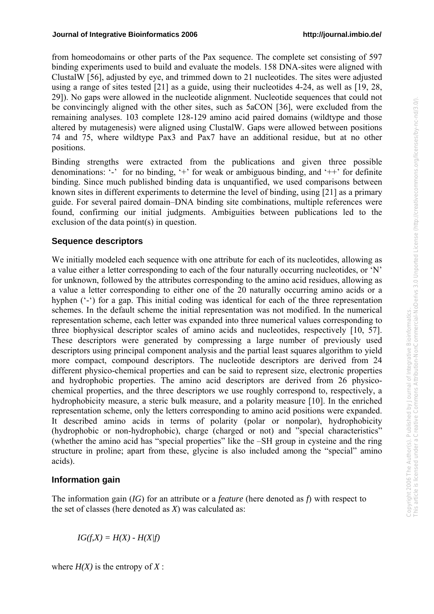from homeodomains or other parts of the Pax sequence. The complete set consisting of 597 binding experiments used to build and evaluate the models. 158 DNA-sites were aligned with ClustalW [56], adjusted by eye, and trimmed down to 21 nucleotides. The sites were adjusted using a range of sites tested [21] as a guide, using their nucleotides 4-24, as well as [19, 28, 29]). No gaps were allowed in the nucleotide alignment. Nucleotide sequences that could not be convincingly aligned with the other sites, such as 5aCON [36], were excluded from the remaining analyses. 103 complete 128-129 amino acid paired domains (wildtype and those altered by mutagenesis) were aligned using ClustalW. Gaps were allowed between positions 74 and 75, where wildtype Pax3 and Pax7 have an additional residue, but at no other positions.

Binding strengths were extracted from the publications and given three possible denominations: '-' for no binding, '+' for weak or ambiguous binding, and '++' for definite binding. Since much published binding data is unquantified, we used comparisons between known sites in different experiments to determine the level of binding, using [21] as a primary guide. For several paired domain–DNA binding site combinations, multiple references were found, confirming our initial judgments. Ambiguities between publications led to the exclusion of the data point(s) in question.

### **Sequence descriptors**

We initially modeled each sequence with one attribute for each of its nucleotides, allowing as a value either a letter corresponding to each of the four naturally occurring nucleotides, or 'N' for unknown, followed by the attributes corresponding to the amino acid residues, allowing as a value a letter corresponding to either one of the 20 naturally occurring amino acids or a hyphen ('-') for a gap. This initial coding was identical for each of the three representation schemes. In the default scheme the initial representation was not modified. In the numerical representation scheme, each letter was expanded into three numerical values corresponding to three biophysical descriptor scales of amino acids and nucleotides, respectively [10, 57]. These descriptors were generated by compressing a large number of previously used descriptors using principal component analysis and the partial least squares algorithm to yield more compact, compound descriptors. The nucleotide descriptors are derived from 24 different physico-chemical properties and can be said to represent size, electronic properties and hydrophobic properties. The amino acid descriptors are derived from 26 physicochemical properties, and the three descriptors we use roughly correspond to, respectively, a hydrophobicity measure, a steric bulk measure, and a polarity measure [10]. In the enriched representation scheme, only the letters corresponding to amino acid positions were expanded. It described amino acids in terms of polarity (polar or nonpolar), hydrophobicity (hydrophobic or non-hydrophobic), charge (charged or not) and "special characteristics" (whether the amino acid has "special properties" like the –SH group in cysteine and the ring structure in proline; apart from these, glycine is also included among the "special" amino acids).

## **Information gain**

The information gain (*IG*) for an attribute or a *feature* (here denoted as *f*) with respect to the set of classes (here denoted as *X*) was calculated as:

 $IG(f, X) = H(X) - H(X/f)$ 

where  $H(X)$  is the entropy of  $X$ :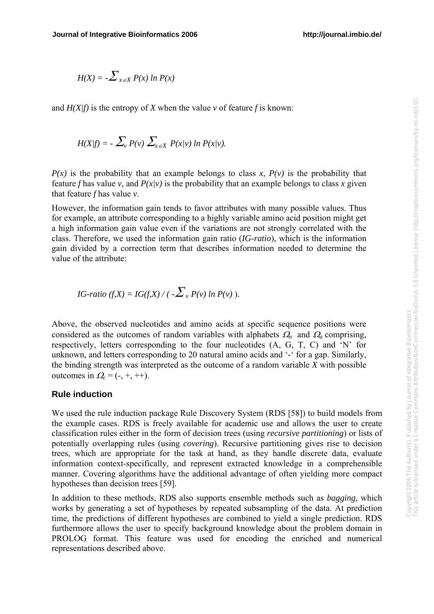$$
H(X) = -\sum_{x \in X} P(x) \ln P(x)
$$

and  $H(X/f)$  is the entropy of *X* when the value *v* of feature *f* is known:

$$
H(X|f) = -\sum_{v} P(v) \sum_{x \in X} P(x|v) \ln P(x|v).
$$

 $P(x)$  is the probability that an example belongs to class x,  $P(y)$  is the probability that feature *f* has value *v*, and  $P(x|v)$  is the probability that an example belongs to class *x* given that feature *f* has value *v*.

However, the information gain tends to favor attributes with many possible values. Thus for example, an attribute corresponding to a highly variable amino acid position might get a high information gain value even if the variations are not strongly correlated with the class. Therefore, we used the information gain ratio (*IG-ratio*), which is the information gain divided by a correction term that describes information needed to determine the value of the attribute:

IG-ratio 
$$
(f,X) = IG(f,X) / (-\sum_{v} P(v) \ln P(v))
$$
.

Above, the observed nucleotides and amino acids at specific sequence positions were considered as the outcomes of random variables with alphabets  $\Omega_n$  and  $\Omega_n$  comprising, respectively, letters corresponding to the four nucleotides (A, G, T, C) and 'N' for unknown, and letters corresponding to 20 natural amino acids and '-' for a gap. Similarly, the binding strength was interpreted as the outcome of a random variable *X* with possible outcomes in  $Q_c = (-, +, ++)$ .

#### **Rule induction**

We used the rule induction package Rule Discovery System (RDS [58]) to build models from the example cases. RDS is freely available for academic use and allows the user to create classification rules either in the form of decision trees (using *recursive partitioning*) or lists of potentially overlapping rules (using *covering*). Recursive partitioning gives rise to decision trees, which are appropriate for the task at hand, as they handle discrete data, evaluate information context-specifically, and represent extracted knowledge in a comprehensible manner. Covering algorithms have the additional advantage of often yielding more compact hypotheses than decision trees [59].

In addition to these methods, RDS also supports ensemble methods such as *bagging,* which works by generating a set of hypotheses by repeated subsampling of the data. At prediction time, the predictions of different hypotheses are combined to yield a single prediction. RDS furthermore allows the user to specify background knowledge about the problem domain in PROLOG format. This feature was used for encoding the enriched and numerical representations described above.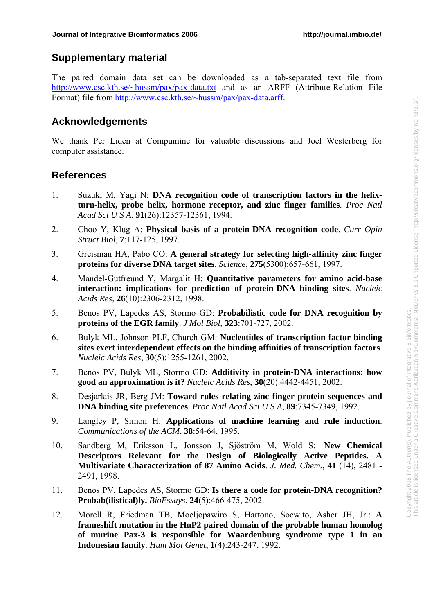### **Supplementary material**

The paired domain data set can be downloaded as a tab-separated text file from [http://www.csc.kth.se/~hussm/pax/pax-data.txt](http://www.csc.kth.se/%7Ehussm/pax/pax-data.txt) and as an ARFF (Attribute-Relation File Format) file from [http://www.csc.kth.se/~hussm/pax/pax-data.arff](http://www.csc.kth.se/%7Ehussm/pax/pax-data.arff).

## **Acknowledgements**

We thank Per Lidén at Compumine for valuable discussions and Joel Westerberg for computer assistance.

## **References**

- 1. Suzuki M, Yagi N: **DNA recognition code of transcription factors in the helixturn-helix, probe helix, hormone receptor, and zinc finger families**. *Proc Natl Acad Sci U S A*, **91**(26):12357-12361, 1994.
- 2. Choo Y, Klug A: **Physical basis of a protein-DNA recognition code**. *Curr Opin Struct Biol*, **7**:117-125, 1997.
- 3. Greisman HA, Pabo CO: **A general strategy for selecting high-affinity zinc finger proteins for diverse DNA target sites**. *Science*, **275**(5300):657-661, 1997.
- 4. Mandel-Gutfreund Y, Margalit H: **Quantitative parameters for amino acid-base interaction: implications for prediction of protein-DNA binding sites**. *Nucleic Acids Res*, **26**(10):2306-2312, 1998.
- 5. Benos PV, Lapedes AS, Stormo GD: **Probabilistic code for DNA recognition by proteins of the EGR family**. *J Mol Biol*, **323**:701-727, 2002.
- 6. Bulyk ML, Johnson PLF, Church GM: **Nucleotides of transcription factor binding sites exert interdependent effects on the binding affinities of transcription factors**. *Nucleic Acids Res*, **30**(5):1255-1261, 2002.
- 7. Benos PV, Bulyk ML, Stormo GD: **Additivity in protein-DNA interactions: how good an approximation is it?** *Nucleic Acids Res*, **30**(20):4442-4451, 2002.
- 8. Desjarlais JR, Berg JM: **Toward rules relating zinc finger protein sequences and DNA binding site preferences**. *Proc Natl Acad Sci U S A*, **89**:7345-7349, 1992.
- 9. Langley P, Simon H: **Applications of machine learning and rule induction**. *Communications of the ACM*, **38**:54-64, 1995.
- 10. Sandberg M, Eriksson L, Jonsson J, Sjöström M, Wold S: **New Chemical Descriptors Relevant for the Design of Biologically Active Peptides. A Multivariate Characterization of 87 Amino Acids**. *J. Med. Chem.,* **41** (14), 2481 - 2491, 1998.
- 11. Benos PV, Lapedes AS, Stormo GD: **Is there a code for protein-DNA recognition? Probab(ilistical)ly.** *BioEssays*, **24**(5):466-475, 2002.
- 12. Morell R, Friedman TB, Moeljopawiro S, Hartono, Soewito, Asher JH, Jr.: **A frameshift mutation in the HuP2 paired domain of the probable human homolog of murine Pax-3 is responsible for Waardenburg syndrome type 1 in an Indonesian family**. *Hum Mol Genet*, **1**(4):243-247, 1992.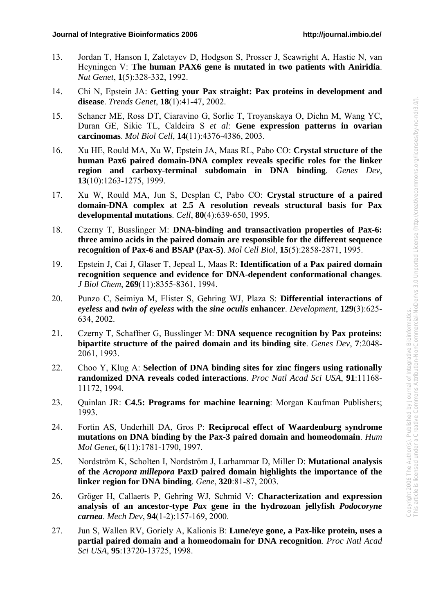- 13. Jordan T, Hanson I, Zaletayev D, Hodgson S, Prosser J, Seawright A, Hastie N, van Heyningen V: **The human PAX6 gene is mutated in two patients with Aniridia**. *Nat Genet*, **1**(5):328-332, 1992.
- 14. Chi N, Epstein JA: **Getting your Pax straight: Pax proteins in development and disease**. *Trends Genet*, **18**(1):41-47, 2002.
- 15. Schaner ME, Ross DT, Ciaravino G, Sorlie T, Troyanskaya O, Diehn M, Wang YC, Duran GE, Sikic TL, Caldeira S *et al*: **Gene expression patterns in ovarian carcinomas**. *Mol Biol Cell*, **14**(11):4376-4386, 2003.
- 16. Xu HE, Rould MA, Xu W, Epstein JA, Maas RL, Pabo CO: **Crystal structure of the human Pax6 paired domain-DNA complex reveals specific roles for the linker region and carboxy-terminal subdomain in DNA binding**. *Genes Dev*, **13**(10):1263-1275, 1999.
- 17. Xu W, Rould MA, Jun S, Desplan C, Pabo CO: **Crystal structure of a paired domain-DNA complex at 2.5 A resolution reveals structural basis for Pax developmental mutations**. *Cell*, **80**(4):639-650, 1995.
- 18. Czerny T, Busslinger M: **DNA-binding and transactivation properties of Pax-6: three amino acids in the paired domain are responsible for the different sequence recognition of Pax-6 and BSAP (Pax-5)**. *Mol Cell Biol*, **15**(5):2858-2871, 1995.
- 19. Epstein J, Cai J, Glaser T, Jepeal L, Maas R: **Identification of a Pax paired domain recognition sequence and evidence for DNA-dependent conformational changes**. *J Biol Chem*, **269**(11):8355-8361, 1994.
- 20. Punzo C, Seimiya M, Flister S, Gehring WJ, Plaza S: **Differential interactions of**  *eyeless* **and** *twin of eyeless* **with the** *sine oculis* **enhancer**. *Development*, **129**(3):625- 634, 2002.
- 21. Czerny T, Schaffner G, Busslinger M: **DNA sequence recognition by Pax proteins: bipartite structure of the paired domain and its binding site**. *Genes Dev*, **7**:2048- 2061, 1993.
- 22. Choo Y, Klug A: **Selection of DNA binding sites for zinc fingers using rationally randomized DNA reveals coded interactions**. *Proc Natl Acad Sci USA*, **91**:11168- 11172, 1994.
- 23. Quinlan JR: **C4.5: Programs for machine learning**: Morgan Kaufman Publishers; 1993.
- 24. Fortin AS, Underhill DA, Gros P: **Reciprocal effect of Waardenburg syndrome mutations on DNA binding by the Pax-3 paired domain and homeodomain**. *Hum Mol Genet*, **6**(11):1781-1790, 1997.
- 25. Nordström K, Scholten I, Nordström J, Larhammar D, Miller D: **Mutational analysis of the** *Acropora millepora* **PaxD paired domain highlights the importance of the linker region for DNA binding**. *Gene*, **320**:81-87, 2003.
- 26. Gröger H, Callaerts P, Gehring WJ, Schmid V: **Characterization and expression analysis of an ancestor-type** *Pax* **gene in the hydrozoan jellyfish** *Podocoryne carnea*. *Mech Dev*, **94**(1-2):157-169, 2000.
- 27. Jun S, Wallen RV, Goriely A, Kalionis B: **Lune/eye gone, a Pax-like protein, uses a partial paired domain and a homeodomain for DNA recognition**. *Proc Natl Acad Sci USA*, **95**:13720-13725, 1998.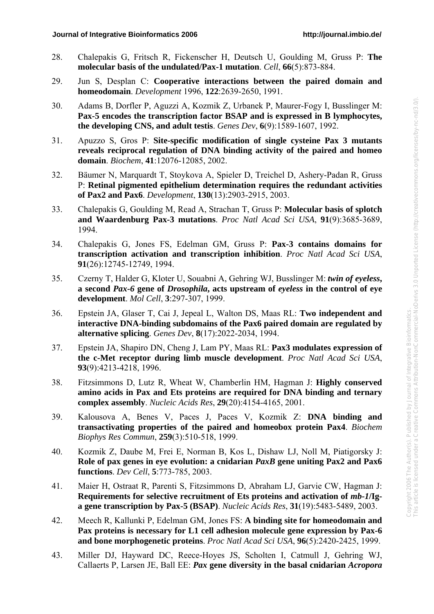- 28. Chalepakis G, Fritsch R, Fickenscher H, Deutsch U, Goulding M, Gruss P: **The molecular basis of the undulated/Pax-1 mutation**. *Cell*, **66**(5):873-884.
- 29. Jun S, Desplan C: **Cooperative interactions between the paired domain and homeodomain**. *Development* 1996, **122**:2639-2650, 1991.
- 30. Adams B, Dorfler P, Aguzzi A, Kozmik Z, Urbanek P, Maurer-Fogy I, Busslinger M: **Pax-5 encodes the transcription factor BSAP and is expressed in B lymphocytes, the developing CNS, and adult testis**. *Genes Dev*, **6**(9):1589-1607, 1992.
- 31. Apuzzo S, Gros P: **Site-specific modification of single cysteine Pax 3 mutants reveals reciprocal regulation of DNA binding activity of the paired and homeo domain**. *Biochem*, **41**:12076-12085, 2002.
- 32. Bäumer N, Marquardt T, Stoykova A, Spieler D, Treichel D, Ashery-Padan R, Gruss P: **Retinal pigmented epithelium determination requires the redundant activities of Pax2 and Pax6**. *Development*, **130**(13):2903-2915, 2003.
- 33. Chalepakis G, Goulding M, Read A, Strachan T, Gruss P: **Molecular basis of splotch and Waardenburg Pax-3 mutations**. *Proc Natl Acad Sci USA*, **91**(9):3685-3689, 1994.
- 34. Chalepakis G, Jones FS, Edelman GM, Gruss P: **Pax-3 contains domains for transcription activation and transcription inhibition**. *Proc Natl Acad Sci USA*, **91**(26):12745-12749, 1994.
- 35. Czerny T, Halder G, Kloter U, Souabni A, Gehring WJ, Busslinger M: *twin of eyeless***, a second** *Pax-6* **gene of** *Drosophila***, acts upstream of** *eyeless* **in the control of eye development**. *Mol Cell*, **3**:297-307, 1999.
- 36. Epstein JA, Glaser T, Cai J, Jepeal L, Walton DS, Maas RL: **Two independent and interactive DNA-binding subdomains of the Pax6 paired domain are regulated by alternative splicing**. *Genes Dev*, **8**(17):2022-2034, 1994.
- 37. Epstein JA, Shapiro DN, Cheng J, Lam PY, Maas RL: **Pax3 modulates expression of the c-Met receptor during limb muscle development**. *Proc Natl Acad Sci USA*, **93**(9):4213-4218, 1996.
- 38. Fitzsimmons D, Lutz R, Wheat W, Chamberlin HM, Hagman J: **Highly conserved amino acids in Pax and Ets proteins are required for DNA binding and ternary complex assembly**. *Nucleic Acids Res*, **29**(20):4154-4165, 2001.
- 39. Kalousova A, Benes V, Paces J, Paces V, Kozmik Z: **DNA binding and transactivating properties of the paired and homeobox protein Pax4**. *Biochem Biophys Res Commun*, **259**(3):510-518, 1999.
- 40. Kozmik Z, Daube M, Frei E, Norman B, Kos L, Dishaw LJ, Noll M, Piatigorsky J: **Role of pax genes in eye evolution: a cnidarian** *PaxB* **gene uniting Pax2 and Pax6 functions**. *Dev Cell*, **5**:773-785, 2003.
- 41. Maier H, Ostraat R, Parenti S, Fitzsimmons D, Abraham LJ, Garvie CW, Hagman J: **Requirements for selective recruitment of Ets proteins and activation of** *mb-1***/Iga gene transcription by Pax-5 (BSAP)**. *Nucleic Acids Res*, **31**(19):5483-5489, 2003.
- 42. Meech R, Kallunki P, Edelman GM, Jones FS: **A binding site for homeodomain and Pax proteins is necessary for L1 cell adhesion molecule gene expression by Pax-6 and bone morphogenetic proteins**. *Proc Natl Acad Sci USA*, **96**(5):2420-2425, 1999.
- 43. Miller DJ, Hayward DC, Reece-Hoyes JS, Scholten I, Catmull J, Gehring WJ, Callaerts P, Larsen JE, Ball EE: *Pax* **gene diversity in the basal cnidarian** *Acropora*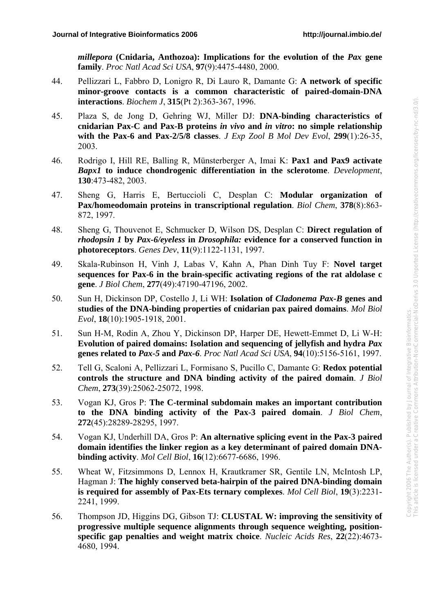*millepora* **(Cnidaria, Anthozoa): Implications for the evolution of the** *Pax* **gene family**. *Proc Natl Acad Sci USA*, **97**(9):4475-4480, 2000.

- 44. Pellizzari L, Fabbro D, Lonigro R, Di Lauro R, Damante G: **A network of specific minor-groove contacts is a common characteristic of paired-domain-DNA interactions**. *Biochem J*, **315**(Pt 2):363-367, 1996.
- 45. Plaza S, de Jong D, Gehring WJ, Miller DJ: **DNA-binding characteristics of cnidarian Pax-C and Pax-B proteins** *in vivo* **and** *in vitro***: no simple relationship with the Pax-6 and Pax-2/5/8 classes**. *J Exp Zool B Mol Dev Evol*, **299**(1):26-35, 2003.
- 46. Rodrigo I, Hill RE, Balling R, Münsterberger A, Imai K: **Pax1 and Pax9 activate**  *Bapx1* **to induce chondrogenic differentiation in the sclerotome**. *Development*, **130**:473-482, 2003.
- 47. Sheng G, Harris E, Bertuccioli C, Desplan C: **Modular organization of Pax/homeodomain proteins in transcriptional regulation**. *Biol Chem*, **378**(8):863- 872, 1997.
- 48. Sheng G, Thouvenot E, Schmucker D, Wilson DS, Desplan C: **Direct regulation of**  *rhodopsin 1* **by** *Pax-6/eyeless* **in** *Drosophila:* **evidence for a conserved function in photoreceptors**. *Genes Dev*, **11**(9):1122-1131, 1997.
- 49. Skala-Rubinson H, Vinh J, Labas V, Kahn A, Phan Dinh Tuy F: **Novel target sequences for Pax-6 in the brain-specific activating regions of the rat aldolase c gene**. *J Biol Chem*, **277**(49):47190-47196, 2002.
- 50. Sun H, Dickinson DP, Costello J, Li WH: **Isolation of** *Cladonema Pax-B* **genes and studies of the DNA-binding properties of cnidarian pax paired domains**. *Mol Biol Evol*, **18**(10):1905-1918, 2001.
- 51. Sun H-M, Rodin A, Zhou Y, Dickinson DP, Harper DE, Hewett-Emmet D, Li W-H: **Evolution of paired domains: Isolation and sequencing of jellyfish and hydra** *Pax* **genes related to** *Pax-5* **and** *Pax-6*. *Proc Natl Acad Sci USA*, **94**(10):5156-5161, 1997.
- 52. Tell G, Scaloni A, Pellizzari L, Formisano S, Pucillo C, Damante G: **Redox potential controls the structure and DNA binding activity of the paired domain**. *J Biol Chem*, **273**(39):25062-25072, 1998.
- 53. Vogan KJ, Gros P: **The C-terminal subdomain makes an important contribution to the DNA binding activity of the Pax-3 paired domain**. *J Biol Chem*, **272**(45):28289-28295, 1997.
- 54. Vogan KJ, Underhill DA, Gros P: **An alternative splicing event in the Pax-3 paired domain identifies the linker region as a key determinant of paired domain DNAbinding activity**. *Mol Cell Biol*, **16**(12):6677-6686, 1996.
- 55. Wheat W, Fitzsimmons D, Lennox H, Krautkramer SR, Gentile LN, McIntosh LP, Hagman J: **The highly conserved beta-hairpin of the paired DNA-binding domain is required for assembly of Pax-Ets ternary complexes**. *Mol Cell Biol*, **19**(3):2231- 2241, 1999.
- 56. Thompson JD, Higgins DG, Gibson TJ: **CLUSTAL W: improving the sensitivity of progressive multiple sequence alignments through sequence weighting, positionspecific gap penalties and weight matrix choice**. *Nucleic Acids Res*, **22**(22):4673- 4680, 1994.